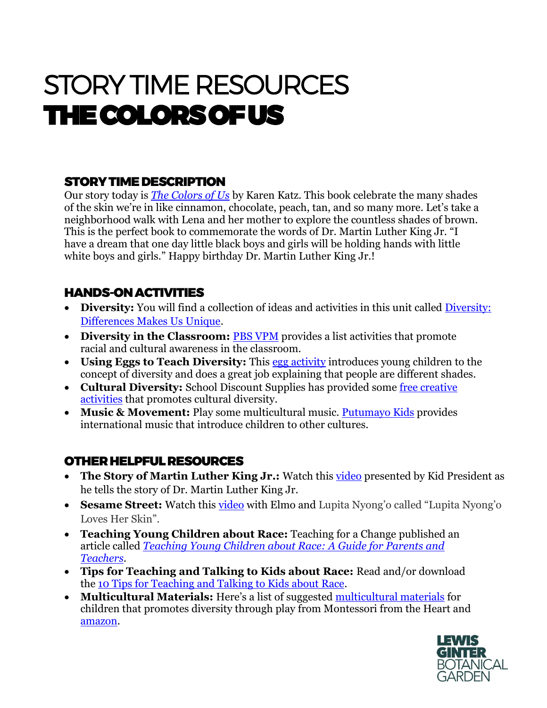# STORY TIME RESOURCES THE COLORS OF US

## STORY TIME DESCRIPTION

Our story today is *[The Colors of Us](https://www.amazon.com/Colors-Us-Karen-Katz/dp/0805071636)* by Karen Katz. This book celebrate the many shades of the skin we're in like cinnamon, chocolate, peach, tan, and so many more. Let's take a neighborhood walk with Lena and her mother to explore the countless shades of brown. This is the perfect book to commemorate the words of Dr. Martin Luther King Jr. "I have a dream that one day little black boys and girls will be holding hands with little white boys and girls." Happy birthday Dr. Martin Luther King Jr.!

#### HANDS-ON ACTIVITIES

- **Diversity:** You will find a collection of ideas and activities in this unit called [Diversity:](https://www.thecurriculumcorner.com/thekindercorner/diversity-differences-make-us-unique/)  [Differences Makes Us Unique.](https://www.thecurriculumcorner.com/thekindercorner/diversity-differences-make-us-unique/)
- **Diversity in the Classroom: [PBS VPM](https://www.pbs.org/kcts/preciouschildren/diversity/read_activities.html)** provides a list activities that promote racial and cultural awareness in the classroom.
- **Using Eggs to Teach Diversity:** This [egg activity](https://kidsactivitiesblog.com/23747/what-is-diversity/) introduces young children to the concept of diversity and does a great job explaining that people are different shades.
- **Cultural Diversity:** School Discount Supplies has provided some [free creative](https://www.discountschoolsupply.com/cultural-diversity-craft-activities)  [activities](https://www.discountschoolsupply.com/cultural-diversity-craft-activities) that promotes cultural diversity.
- **Music & Movement:** Play some multicultural music. [Putumayo Kids](https://www.putumayo.com/kids-music) provides international music that introduce children to other cultures.

### OTHER HELPFUL RESOURCES

- The Story of Martin Luther King Jr.: Watch this [video](https://www.youtube.com/watch?v=4xXZhXTFWnE) presented by Kid President as he tells the story of Dr. Martin Luther King Jr.
- **Sesame Street:** Watch this *video* with Elmo and Lupita Nyong'o called "Lupita Nyong'o Loves Her Skin".
- **Teaching Young Children about Race:** Teaching for a Change published an article called *[Teaching Young Children about Race: A Guide for Parents and](https://www.teachingforchange.org/teaching-about-race)  [Teachers](https://www.teachingforchange.org/teaching-about-race)*.
- **Tips for Teaching and Talking to Kids about Race:** Read and/or download the [10 Tips for Teaching and Talking to Kids about Race.](https://www.embracerace.org/resources/teaching-and-talking-to-kids)
- **Multicultural Materials:** Here's a list of suggested [multicultural materials](https://montessorifromtheheart.com/2020/06/03/kids-multicultural-diversity-materials/) for children that promotes diversity through play from Montessori from the Heart and [amazon.](https://www.amazon.com/multicultural-art-supplies/s?k=multicultural+art+supplies)